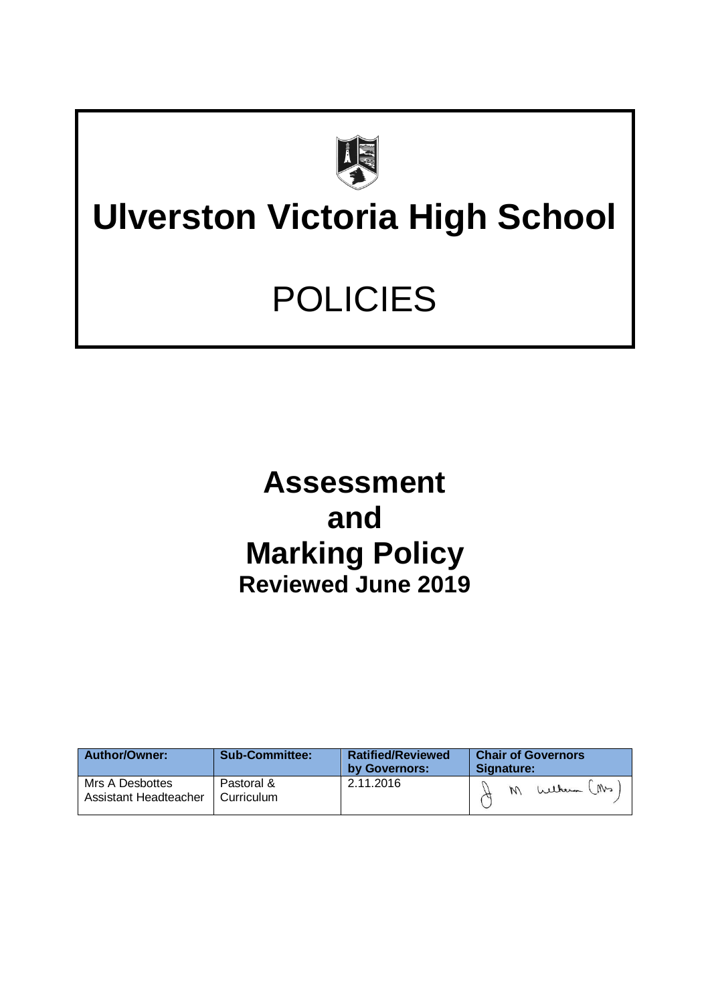

# **Ulverston Victoria High School**

# POLICIES

## **Assessment and Marking Policy Reviewed June 2019**

| <b>Author/Owner:</b>                     | <b>Sub-Committee:</b>    | <b>Ratified/Reviewed</b><br>by Governors: | <b>Chair of Governors</b><br>Signature: |  |  |
|------------------------------------------|--------------------------|-------------------------------------------|-----------------------------------------|--|--|
| Mrs A Desbottes<br>Assistant Headteacher | Pastoral &<br>Curriculum | 2.11.2016                                 | Wilker (Ms                              |  |  |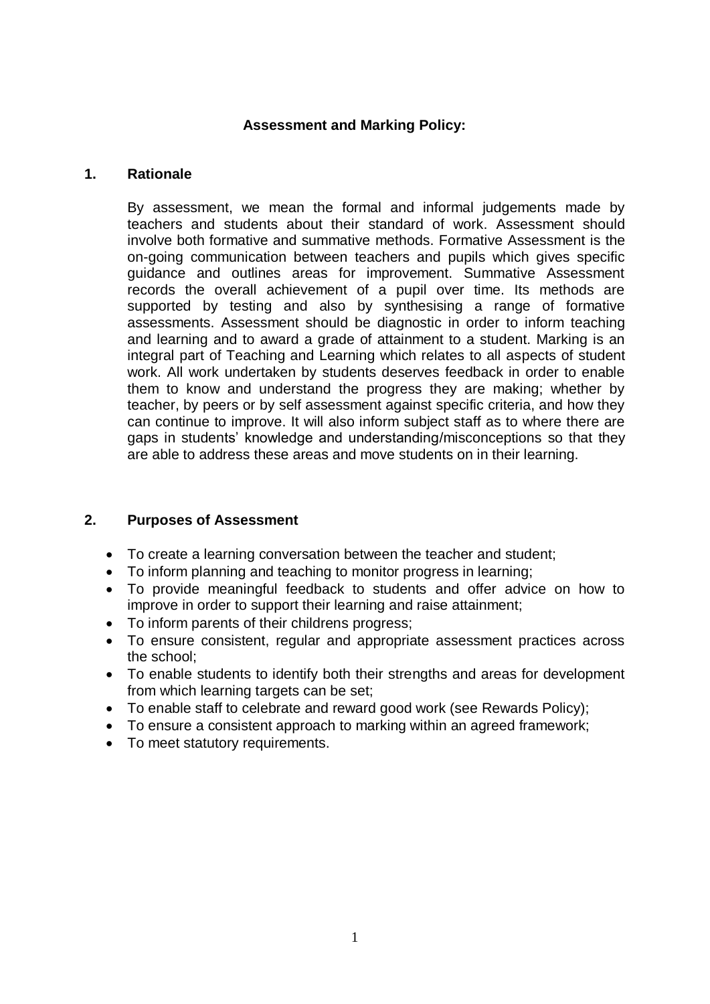### **Assessment and Marking Policy:**

### **1. Rationale**

By assessment, we mean the formal and informal judgements made by teachers and students about their standard of work. Assessment should involve both formative and summative methods. Formative Assessment is the on-going communication between teachers and pupils which gives specific guidance and outlines areas for improvement. Summative Assessment records the overall achievement of a pupil over time. Its methods are supported by testing and also by synthesising a range of formative assessments. Assessment should be diagnostic in order to inform teaching and learning and to award a grade of attainment to a student. Marking is an integral part of Teaching and Learning which relates to all aspects of student work. All work undertaken by students deserves feedback in order to enable them to know and understand the progress they are making; whether by teacher, by peers or by self assessment against specific criteria, and how they can continue to improve. It will also inform subject staff as to where there are gaps in students' knowledge and understanding/misconceptions so that they are able to address these areas and move students on in their learning.

### **2. Purposes of Assessment**

- To create a learning conversation between the teacher and student;
- To inform planning and teaching to monitor progress in learning;
- To provide meaningful feedback to students and offer advice on how to improve in order to support their learning and raise attainment;
- To inform parents of their childrens progress;
- To ensure consistent, regular and appropriate assessment practices across the school;
- To enable students to identify both their strengths and areas for development from which learning targets can be set;
- To enable staff to celebrate and reward good work (see Rewards Policy);
- To ensure a consistent approach to marking within an agreed framework;
- To meet statutory requirements.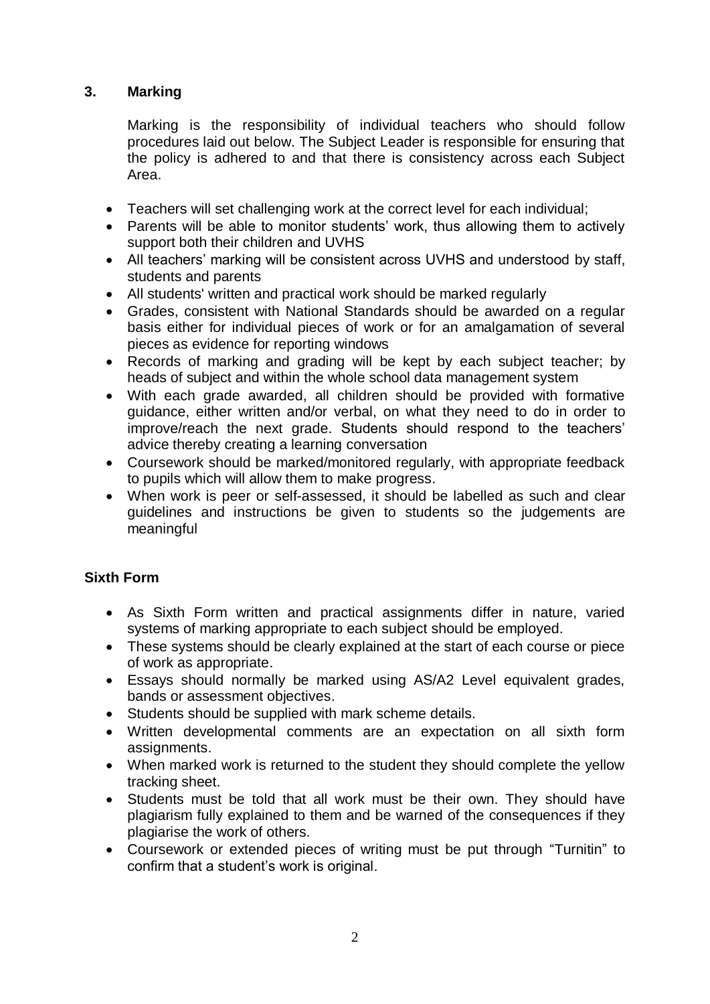### **3. Marking**

Marking is the responsibility of individual teachers who should follow procedures laid out below. The Subject Leader is responsible for ensuring that the policy is adhered to and that there is consistency across each Subject Area.

- Teachers will set challenging work at the correct level for each individual;
- Parents will be able to monitor students' work, thus allowing them to actively support both their children and UVHS
- All teachers' marking will be consistent across UVHS and understood by staff, students and parents
- All students' written and practical work should be marked regularly
- Grades, consistent with National Standards should be awarded on a regular basis either for individual pieces of work or for an amalgamation of several pieces as evidence for reporting windows
- Records of marking and grading will be kept by each subject teacher; by heads of subject and within the whole school data management system
- With each grade awarded, all children should be provided with formative guidance, either written and/or verbal, on what they need to do in order to improve/reach the next grade. Students should respond to the teachers' advice thereby creating a learning conversation
- Coursework should be marked/monitored regularly, with appropriate feedback to pupils which will allow them to make progress.
- When work is peer or self-assessed, it should be labelled as such and clear guidelines and instructions be given to students so the judgements are meaningful

### **Sixth Form**

- As Sixth Form written and practical assignments differ in nature, varied systems of marking appropriate to each subject should be employed.
- These systems should be clearly explained at the start of each course or piece of work as appropriate.
- Essays should normally be marked using AS/A2 Level equivalent grades, bands or assessment objectives.
- Students should be supplied with mark scheme details.
- Written developmental comments are an expectation on all sixth form assignments.
- When marked work is returned to the student they should complete the yellow tracking sheet.
- Students must be told that all work must be their own. They should have plagiarism fully explained to them and be warned of the consequences if they plagiarise the work of others.
- Coursework or extended pieces of writing must be put through "Turnitin" to confirm that a student's work is original.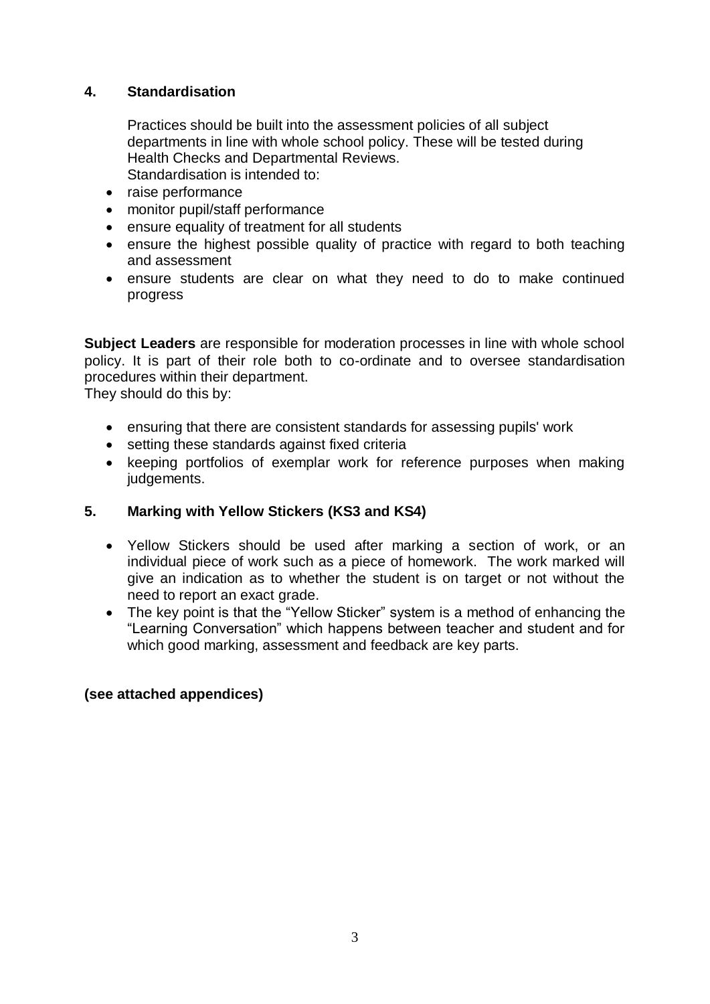### **4. Standardisation**

Practices should be built into the assessment policies of all subject departments in line with whole school policy. These will be tested during Health Checks and Departmental Reviews. Standardisation is intended to:

- raise performance
- monitor pupil/staff performance
- ensure equality of treatment for all students
- ensure the highest possible quality of practice with regard to both teaching and assessment
- ensure students are clear on what they need to do to make continued progress

**Subject Leaders** are responsible for moderation processes in line with whole school policy. It is part of their role both to co-ordinate and to oversee standardisation procedures within their department.

They should do this by:

- ensuring that there are consistent standards for assessing pupils' work
- setting these standards against fixed criteria
- keeping portfolios of exemplar work for reference purposes when making judgements.

### **5. Marking with Yellow Stickers (KS3 and KS4)**

- Yellow Stickers should be used after marking a section of work, or an individual piece of work such as a piece of homework. The work marked will give an indication as to whether the student is on target or not without the need to report an exact grade.
- The key point is that the "Yellow Sticker" system is a method of enhancing the "Learning Conversation" which happens between teacher and student and for which good marking, assessment and feedback are key parts.

### **(see attached appendices)**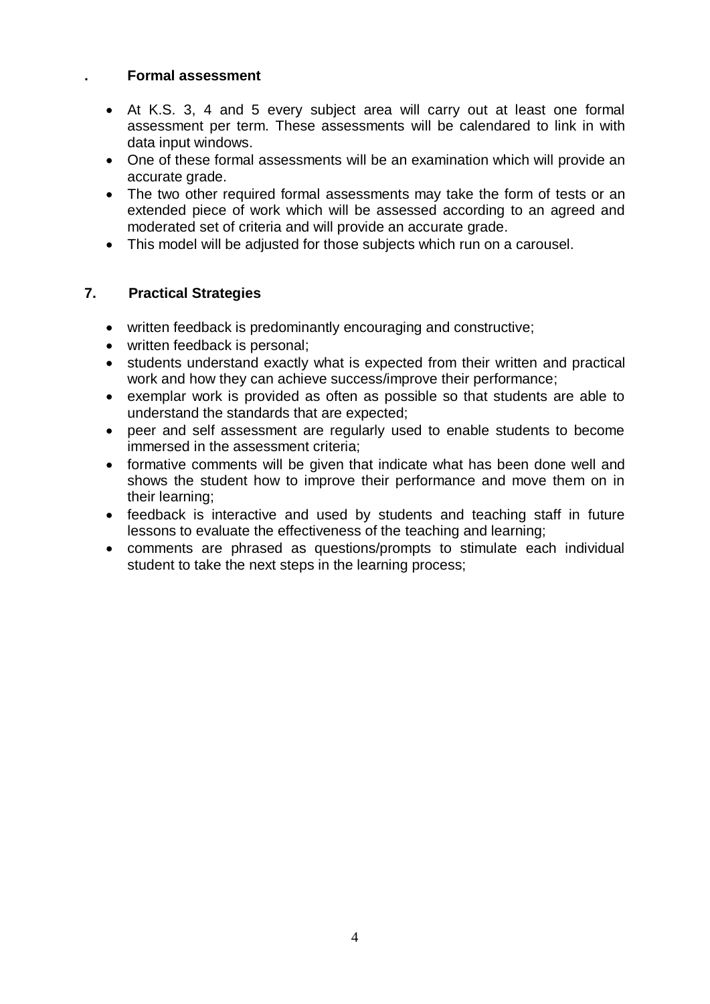### **. Formal assessment**

- At K.S. 3, 4 and 5 every subject area will carry out at least one formal assessment per term. These assessments will be calendared to link in with data input windows.
- One of these formal assessments will be an examination which will provide an accurate grade.
- The two other required formal assessments may take the form of tests or an extended piece of work which will be assessed according to an agreed and moderated set of criteria and will provide an accurate grade.
- This model will be adjusted for those subjects which run on a carousel.

### **7. Practical Strategies**

- written feedback is predominantly encouraging and constructive;
- written feedback is personal;
- students understand exactly what is expected from their written and practical work and how they can achieve success/improve their performance;
- exemplar work is provided as often as possible so that students are able to understand the standards that are expected;
- peer and self assessment are regularly used to enable students to become immersed in the assessment criteria;
- formative comments will be given that indicate what has been done well and shows the student how to improve their performance and move them on in their learning;
- feedback is interactive and used by students and teaching staff in future lessons to evaluate the effectiveness of the teaching and learning;
- comments are phrased as questions/prompts to stimulate each individual student to take the next steps in the learning process;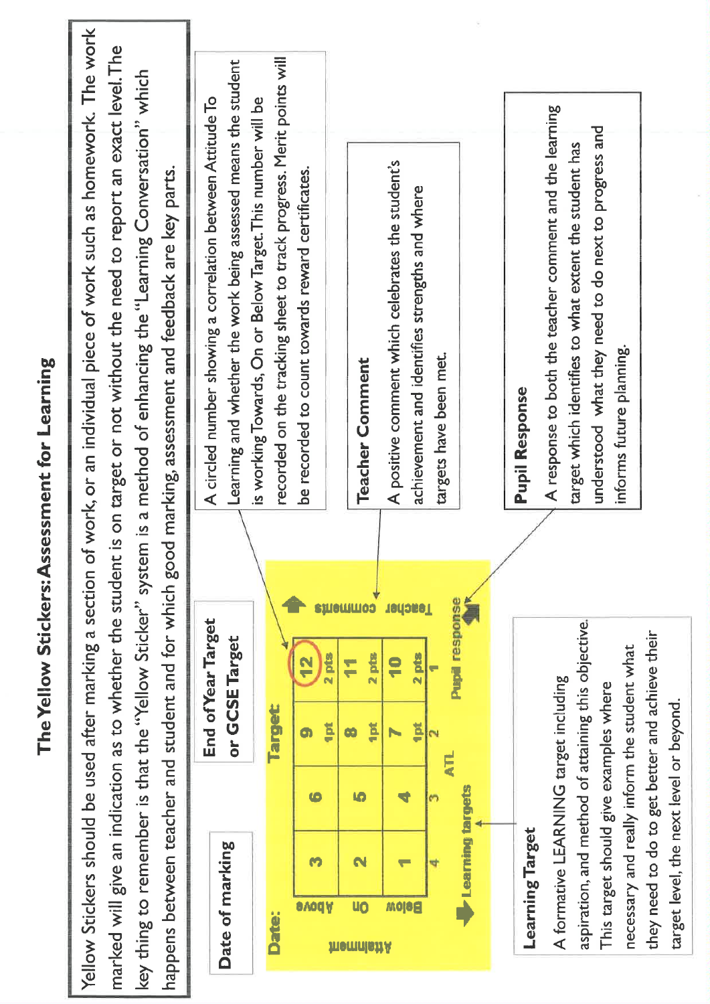$\bar{\nu}$